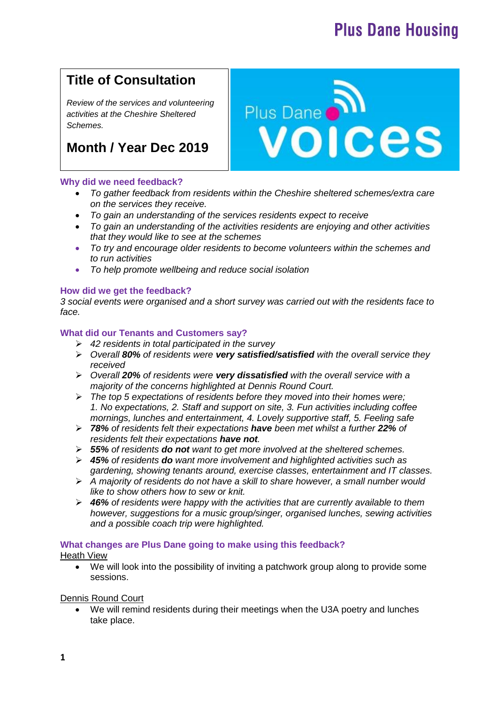# **Plus Dane Housing**

## **Title of Consultation**

 $\overline{a}$ 

 $\mathsf{I}$ 

*Review of the services and volunteering activities at the Cheshire Sheltered Schemes.*

### **Month / Year Dec 2019**

#### **Why did we need feedback?**

- *To gather feedback from residents within the Cheshire sheltered schemes/extra care*  **on the services they receive.**<br>Son the services they receive.
	- *To gain an understanding of the services residents expect to receive*
	- *To gain an understanding of the activities residents are enjoying and other activities that they would like to see at the schemes*
	- *To try and encourage older residents to become volunteers within the schemes and to run activities*
	- *To help promote wellbeing and reduce social isolation*

#### **How did we get the feedback?**

*3 social events were organised and a short survey was carried out with the residents face to face.*

#### **What did our Tenants and Customers say?**

- *42 residents in total participated in the survey*
- *Overall 80% of residents were very satisfied/satisfied with the overall service they received*
- *Overall 20% of residents were very dissatisfied with the overall service with a majority of the concerns highlighted at Dennis Round Court.*
- *The top 5 expectations of residents before they moved into their homes were; 1. No expectations, 2. Staff and support on site, 3. Fun activities including coffee mornings, lunches and entertainment, 4. Lovely supportive staff, 5. Feeling safe*
- *78% of residents felt their expectations have been met whilst a further 22% of residents felt their expectations have not.*
- *55% of residents do not want to get more involved at the sheltered schemes.*
- *45% of residents do want more involvement and highlighted activities such as gardening, showing tenants around, exercise classes, entertainment and IT classes.*
- *A majority of residents do not have a skill to share however, a small number would like to show others how to sew or knit.*
- *46% of residents were happy with the activities that are currently available to them however, suggestions for a music group/singer, organised lunches, sewing activities and a possible coach trip were highlighted.*

#### **What changes are Plus Dane going to make using this feedback?**

#### Heath View

 We will look into the possibility of inviting a patchwork group along to provide some sessions.

Dennis Round Court

 We will remind residents during their meetings when the U3A poetry and lunches take place.